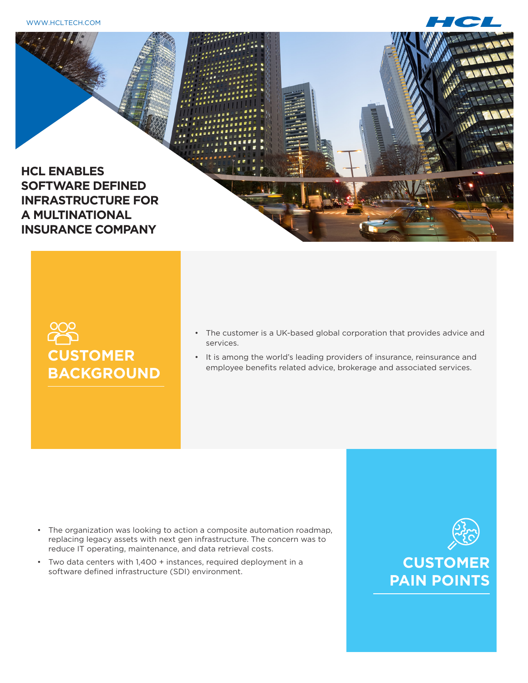WWW.HCLTECH.COM





## 200 **CUSTOMER BACKGROUND**

- The customer is a UK-based global corporation that provides advice and services.
- It is among the world's leading providers of insurance, reinsurance and employee benefits related advice, brokerage and associated services.

- The organization was looking to action a composite automation roadmap, replacing legacy assets with next gen infrastructure. The concern was to reduce IT operating, maintenance, and data retrieval costs.
- • Two data centers with 1,400 + instances, required deployment in a software defined infrastructure (SDI) environment.